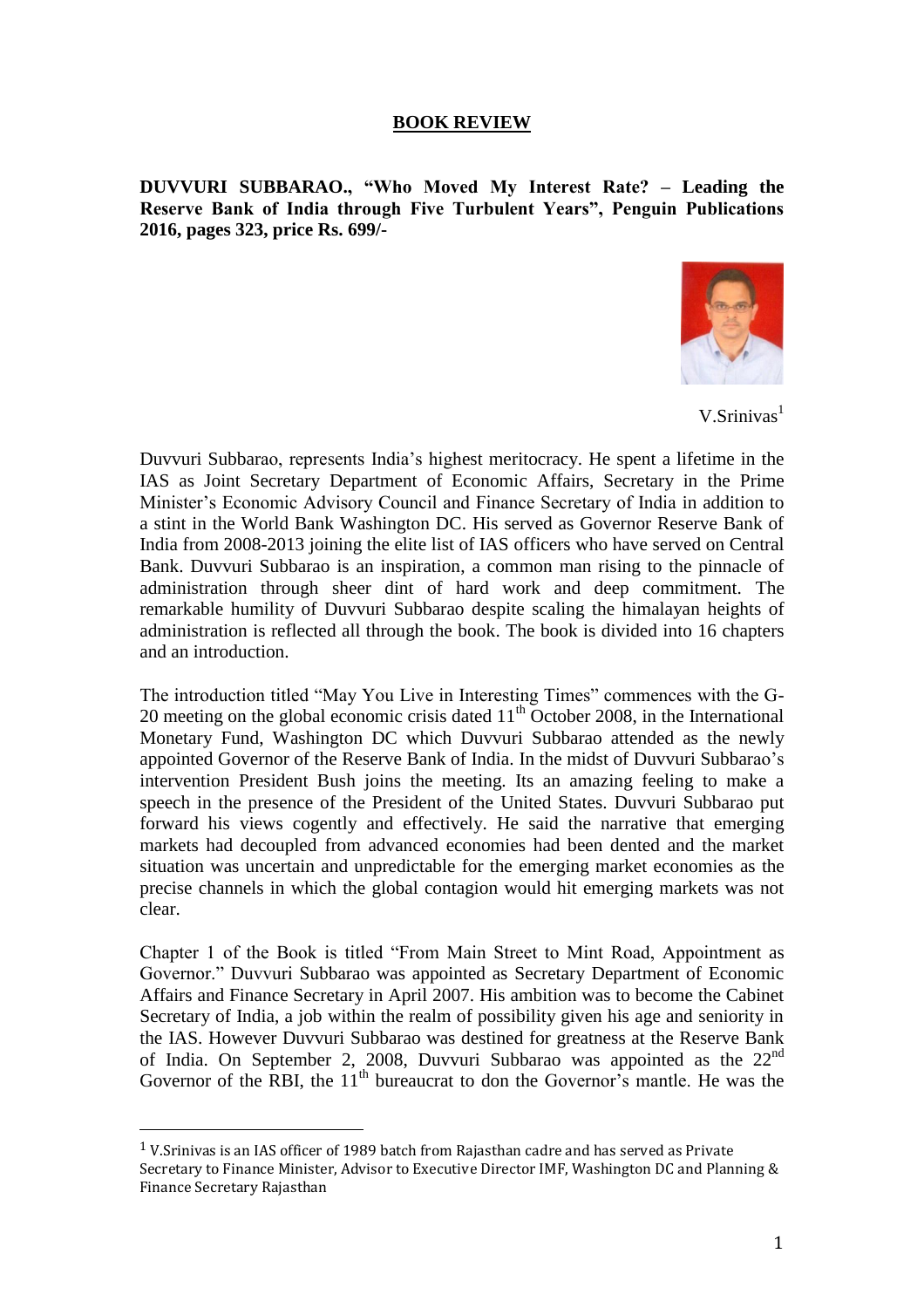## **BOOK REVIEW**

**DUVVURI SUBBARAO., "Who Moved My Interest Rate? – Leading the Reserve Bank of India through Five Turbulent Years", Penguin Publications 2016, pages 323, price Rs. 699/-**



 $V.S$ rinivas<sup>1</sup>

Duvvuri Subbarao, represents India's highest meritocracy. He spent a lifetime in the IAS as Joint Secretary Department of Economic Affairs, Secretary in the Prime Minister's Economic Advisory Council and Finance Secretary of India in addition to a stint in the World Bank Washington DC. His served as Governor Reserve Bank of India from 2008-2013 joining the elite list of IAS officers who have served on Central Bank. Duvvuri Subbarao is an inspiration, a common man rising to the pinnacle of administration through sheer dint of hard work and deep commitment. The remarkable humility of Duvvuri Subbarao despite scaling the himalayan heights of administration is reflected all through the book. The book is divided into 16 chapters and an introduction.

The introduction titled "May You Live in Interesting Times" commences with the G-20 meeting on the global economic crisis dated  $11<sup>th</sup>$  October 2008, in the International Monetary Fund, Washington DC which Duvvuri Subbarao attended as the newly appointed Governor of the Reserve Bank of India. In the midst of Duvvuri Subbarao's intervention President Bush joins the meeting. Its an amazing feeling to make a speech in the presence of the President of the United States. Duvvuri Subbarao put forward his views cogently and effectively. He said the narrative that emerging markets had decoupled from advanced economies had been dented and the market situation was uncertain and unpredictable for the emerging market economies as the precise channels in which the global contagion would hit emerging markets was not clear.

Chapter 1 of the Book is titled "From Main Street to Mint Road, Appointment as Governor." Duvvuri Subbarao was appointed as Secretary Department of Economic Affairs and Finance Secretary in April 2007. His ambition was to become the Cabinet Secretary of India, a job within the realm of possibility given his age and seniority in the IAS. However Duvvuri Subbarao was destined for greatness at the Reserve Bank of India. On September 2, 2008, Duvvuri Subbarao was appointed as the 22<sup>nd</sup> Governor of the RBI, the  $11<sup>th</sup>$  bureaucrat to don the Governor's mantle. He was the

 $\overline{a}$ 

<sup>1</sup> V.Srinivas is an IAS officer of 1989 batch from Rajasthan cadre and has served as Private Secretary to Finance Minister, Advisor to Executive Director IMF, Washington DC and Planning & Finance Secretary Rajasthan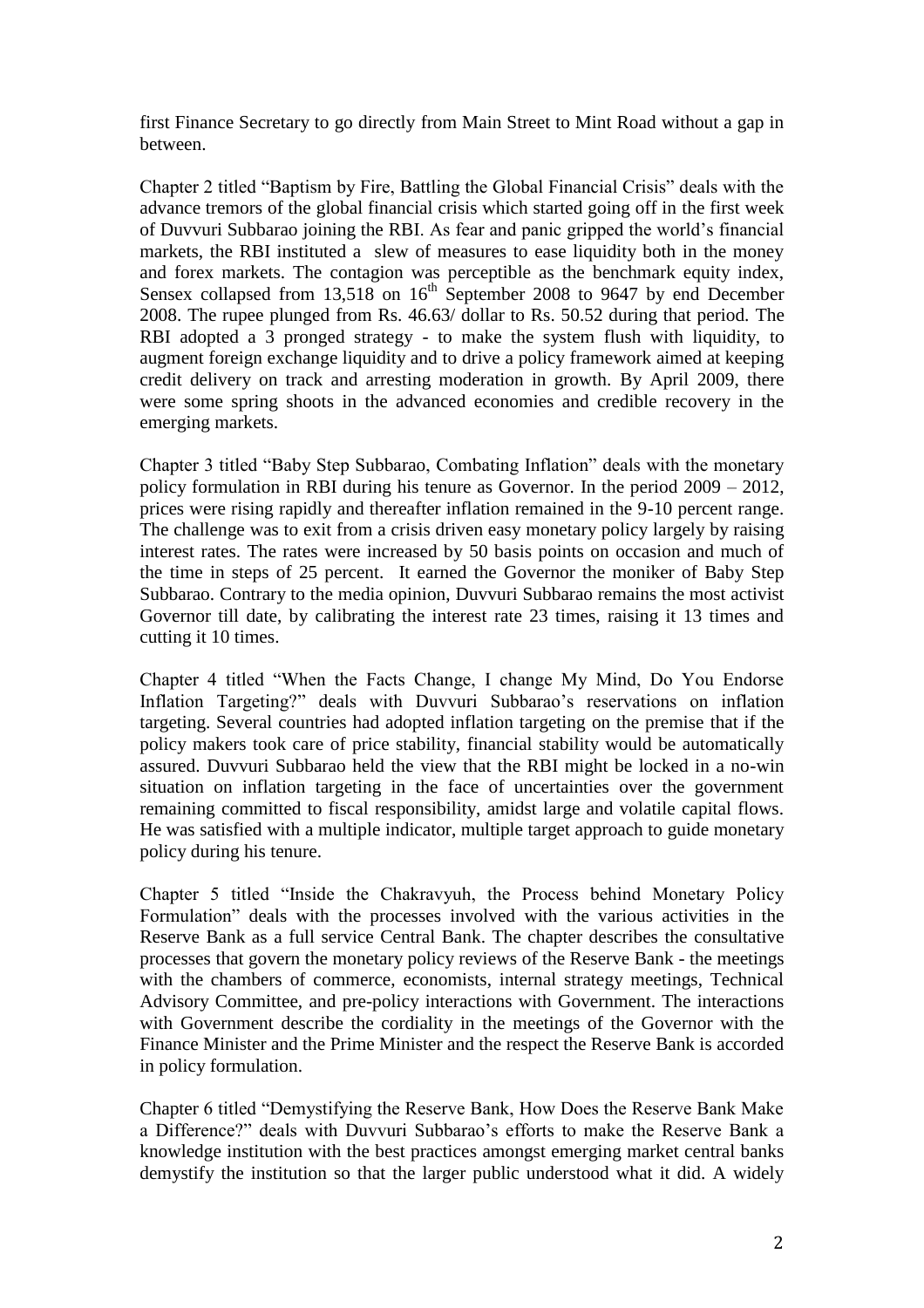first Finance Secretary to go directly from Main Street to Mint Road without a gap in between.

Chapter 2 titled "Baptism by Fire, Battling the Global Financial Crisis" deals with the advance tremors of the global financial crisis which started going off in the first week of Duvvuri Subbarao joining the RBI. As fear and panic gripped the world's financial markets, the RBI instituted a slew of measures to ease liquidity both in the money and forex markets. The contagion was perceptible as the benchmark equity index, Sensex collapsed from  $13,518$  on  $16<sup>th</sup>$  September 2008 to 9647 by end December 2008. The rupee plunged from Rs. 46.63/ dollar to Rs. 50.52 during that period. The RBI adopted a 3 pronged strategy - to make the system flush with liquidity, to augment foreign exchange liquidity and to drive a policy framework aimed at keeping credit delivery on track and arresting moderation in growth. By April 2009, there were some spring shoots in the advanced economies and credible recovery in the emerging markets.

Chapter 3 titled "Baby Step Subbarao, Combating Inflation" deals with the monetary policy formulation in RBI during his tenure as Governor. In the period 2009 – 2012, prices were rising rapidly and thereafter inflation remained in the 9-10 percent range. The challenge was to exit from a crisis driven easy monetary policy largely by raising interest rates. The rates were increased by 50 basis points on occasion and much of the time in steps of 25 percent. It earned the Governor the moniker of Baby Step Subbarao. Contrary to the media opinion, Duvvuri Subbarao remains the most activist Governor till date, by calibrating the interest rate 23 times, raising it 13 times and cutting it 10 times.

Chapter 4 titled "When the Facts Change, I change My Mind, Do You Endorse Inflation Targeting?" deals with Duvvuri Subbarao's reservations on inflation targeting. Several countries had adopted inflation targeting on the premise that if the policy makers took care of price stability, financial stability would be automatically assured. Duvvuri Subbarao held the view that the RBI might be locked in a no-win situation on inflation targeting in the face of uncertainties over the government remaining committed to fiscal responsibility, amidst large and volatile capital flows. He was satisfied with a multiple indicator, multiple target approach to guide monetary policy during his tenure.

Chapter 5 titled "Inside the Chakravyuh, the Process behind Monetary Policy Formulation" deals with the processes involved with the various activities in the Reserve Bank as a full service Central Bank. The chapter describes the consultative processes that govern the monetary policy reviews of the Reserve Bank - the meetings with the chambers of commerce, economists, internal strategy meetings, Technical Advisory Committee, and pre-policy interactions with Government. The interactions with Government describe the cordiality in the meetings of the Governor with the Finance Minister and the Prime Minister and the respect the Reserve Bank is accorded in policy formulation.

Chapter 6 titled "Demystifying the Reserve Bank, How Does the Reserve Bank Make a Difference?" deals with Duvvuri Subbarao's efforts to make the Reserve Bank a knowledge institution with the best practices amongst emerging market central banks demystify the institution so that the larger public understood what it did. A widely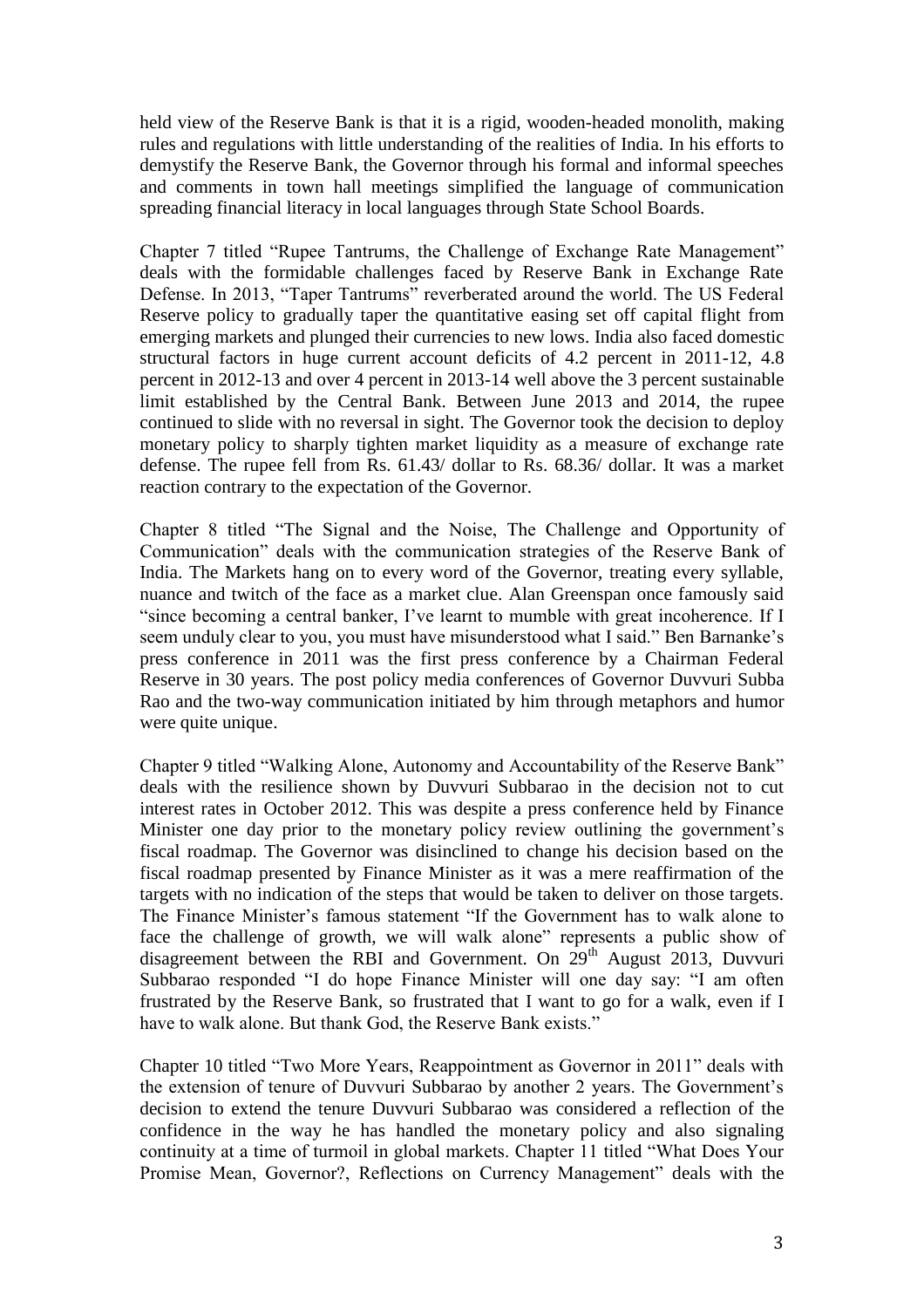held view of the Reserve Bank is that it is a rigid, wooden-headed monolith, making rules and regulations with little understanding of the realities of India. In his efforts to demystify the Reserve Bank, the Governor through his formal and informal speeches and comments in town hall meetings simplified the language of communication spreading financial literacy in local languages through State School Boards.

Chapter 7 titled "Rupee Tantrums, the Challenge of Exchange Rate Management" deals with the formidable challenges faced by Reserve Bank in Exchange Rate Defense. In 2013, "Taper Tantrums" reverberated around the world. The US Federal Reserve policy to gradually taper the quantitative easing set off capital flight from emerging markets and plunged their currencies to new lows. India also faced domestic structural factors in huge current account deficits of 4.2 percent in 2011-12, 4.8 percent in 2012-13 and over 4 percent in 2013-14 well above the 3 percent sustainable limit established by the Central Bank. Between June 2013 and 2014, the rupee continued to slide with no reversal in sight. The Governor took the decision to deploy monetary policy to sharply tighten market liquidity as a measure of exchange rate defense. The rupee fell from Rs. 61.43/ dollar to Rs. 68.36/ dollar. It was a market reaction contrary to the expectation of the Governor.

Chapter 8 titled "The Signal and the Noise, The Challenge and Opportunity of Communication" deals with the communication strategies of the Reserve Bank of India. The Markets hang on to every word of the Governor, treating every syllable, nuance and twitch of the face as a market clue. Alan Greenspan once famously said "since becoming a central banker, I've learnt to mumble with great incoherence. If I seem unduly clear to you, you must have misunderstood what I said." Ben Barnanke's press conference in 2011 was the first press conference by a Chairman Federal Reserve in 30 years. The post policy media conferences of Governor Duvvuri Subba Rao and the two-way communication initiated by him through metaphors and humor were quite unique.

Chapter 9 titled "Walking Alone, Autonomy and Accountability of the Reserve Bank" deals with the resilience shown by Duvvuri Subbarao in the decision not to cut interest rates in October 2012. This was despite a press conference held by Finance Minister one day prior to the monetary policy review outlining the government's fiscal roadmap. The Governor was disinclined to change his decision based on the fiscal roadmap presented by Finance Minister as it was a mere reaffirmation of the targets with no indication of the steps that would be taken to deliver on those targets. The Finance Minister's famous statement "If the Government has to walk alone to face the challenge of growth, we will walk alone" represents a public show of disagreement between the RBI and Government. On  $29<sup>th</sup>$  August 2013, Duvvuri Subbarao responded "I do hope Finance Minister will one day say: "I am often frustrated by the Reserve Bank, so frustrated that I want to go for a walk, even if I have to walk alone. But thank God, the Reserve Bank exists."

Chapter 10 titled "Two More Years, Reappointment as Governor in 2011" deals with the extension of tenure of Duvvuri Subbarao by another 2 years. The Government's decision to extend the tenure Duvvuri Subbarao was considered a reflection of the confidence in the way he has handled the monetary policy and also signaling continuity at a time of turmoil in global markets. Chapter 11 titled "What Does Your Promise Mean, Governor?, Reflections on Currency Management" deals with the